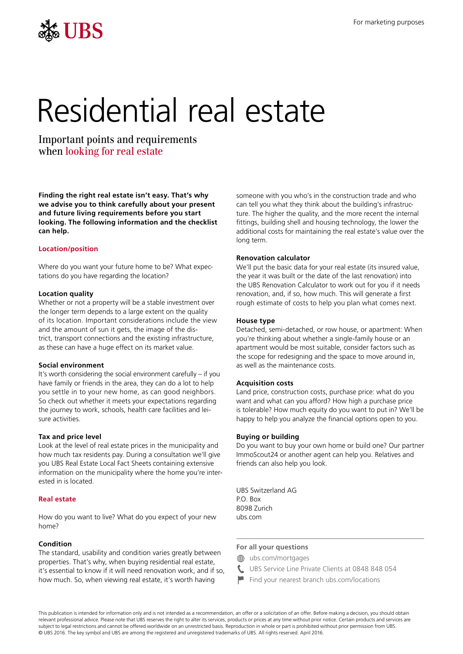

## Residential real estate

Important points and requirements when looking for real estate

**Finding the right real estate isn't easy. That's why we advise you to think carefully about your present and future living requirements before you start looking. The following information and the checklist can help.**

## **Location/position**

Where do you want your future home to be? What expectations do you have regarding the location?

#### **Location quality**

Whether or not a property will be a stable investment over the longer term depends to a large extent on the quality of its location. Important considerations include the view and the amount of sun it gets, the image of the district, transport connections and the existing infrastructure, as these can have a huge effect on its market value.

#### **Social environment**

It's worth considering the social environment carefully – if you have family or friends in the area, they can do a lot to help you settle in to your new home, as can good neighbors. So check out whether it meets your expectations regarding the journey to work, schools, health care facilities and leisure activities.

## **Tax and price level**

Look at the level of real estate prices in the municipality and how much tax residents pay. During a consultation we'll give you UBS Real Estate Local Fact Sheets containing extensive information on the municipality where the home you're interested in is located.

## **Real estate**

How do you want to live? What do you expect of your new home?

## **Condition**

The standard, usability and condition varies greatly between properties. That's why, when buying residential real estate, it's essential to know if it will need renovation work, and if so, how much. So, when viewing real estate, it's worth having

someone with you who's in the construction trade and who can tell you what they think about the building's infrastructure. The higher the quality, and the more recent the internal fittings, building shell and housing technology, the lower the additional costs for maintaining the real estate's value over the long term.

### **Renovation calculator**

We'll put the basic data for your real estate (its insured value, the year it was built or the date of the last renovation) into the UBS Renovation Calculator to work out for you if it needs renovation, and, if so, how much. This will generate a first rough estimate of costs to help you plan what comes next.

#### **House type**

Detached, semi-detached, or row house, or apartment: When you're thinking about whether a single-family house or an apartment would be most suitable, consider factors such as the scope for redesigning and the space to move around in, as well as the maintenance costs.

#### **Acquisition costs**

Land price, construction costs, purchase price: what do you want and what can you afford? How high a purchase price is tolerable? How much equity do you want to put in? We'll be happy to help you analyze the financial options open to you.

#### **Buying or building**

Do you want to buy your own home or build one? Our partner ImmoScout24 or another agent can help you. Relatives and friends can also help you look.

UBS Switzerland AG P.O. Box 8098 Zurich [ubs.com](http://ubs.com)

## **For all your questions**

- **e** [ubs.com/mortgages](http://ubs.com/mortgages)
- ₹. UBS Service Line Private Clients at 0848 848 054
- Find your nearest branch [ubs.com/locations](http://ubs.com/locations)

This publication is intended for information only and is not intended as a recommendation, an offer or a solicitation of an offer. Before making a decision, you should obtain relevant professional advice. Please note that UBS reserves the right to alter its services, products or prices at any time without prior notice. Certain products and services are subject to legal restrictions and cannot be offered worldwide on an unrestricted basis. Reproduction in whole or part is prohibited without prior permission from UBS. © UBS 2016. The key symbol and UBS are among the registered and unregistered trademarks of UBS. All rights reserved. April 2016.